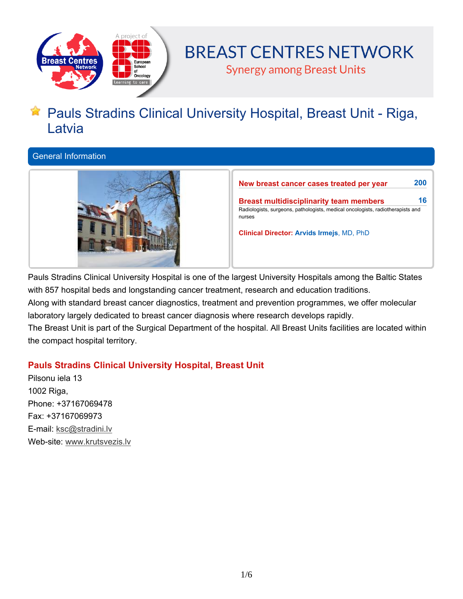

# **BREAST CENTRES NETWORK**

**Synergy among Breast Units** 

# **Pauls Stradins Clinical University Hospital, Breast Unit - Riga, Latvia**

# **General Information**



**New breast cancer cases treated per year 200 Breast multidisciplinarity team members 16 Radiologists, surgeons, pathologists, medical oncologists, radiotherapists and nurses Clinical Director: Arvids Irmejs, MD, PhD**

**Pauls Stradins Clinical University Hospital is one of the largest University Hospitals among the Baltic States with 857 hospital beds and longstanding cancer treatment, research and education traditions. Along with standard breast cancer diagnostics, treatment and prevention programmes, we offer molecular laboratory largely dedicated to breast cancer diagnosis where research develops rapidly.** The Breast Unit is part of the Surgical Department of the hospital. All Breast Units facilities are located within

**the compact hospital territory.**

# **Pauls Stradins Clinical University Hospital, Breast Unit**

**Pilsonu iela 13 1002 Riga, Phone: +37167069478 Fax: +37167069973 E-mail: ksc@stradini.lv Web-site: www.krutsvezis.lv**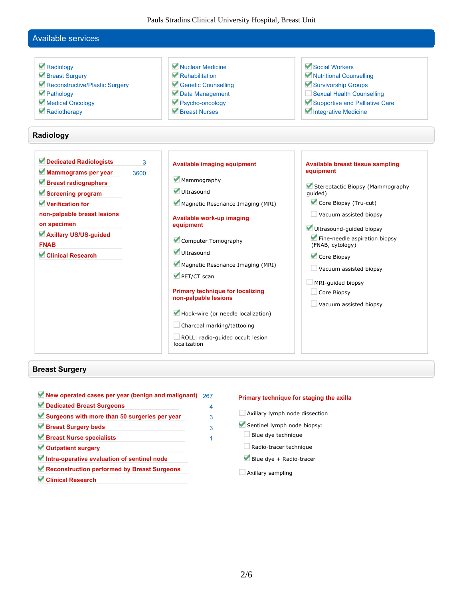Pauls Stradins Clinical University Hospital, Breast Unit

## **Available services**

 **Radiology Breast Surgery Reconstructive/Plastic Surgery Pathology Medical Oncology Radiotherapy Nuclear Medicine Rehabilitation Genetic Counselling Data Management Psycho-oncology Breast Nurses Social Workers Nutritional Counselling Survivorship Groups Sexual Health Counselling Supportive and Palliative Care Integrative Medicine Radiology Dedicated Radiologists 3 Mammograms per year 3600 Breast radiographers Screening program Verification for non-palpable breast lesions on specimen Axillary US/US-guided FNAB Clinical Research Available imaging equipment Mammography Ultrasound Magnetic Resonance Imaging (MRI) Available work-up imaging equipment Computer Tomography Ultrasound Magnetic Resonance Imaging (MRI) PET/CT scan Primary technique for localizing non-palpable lesions Hook-wire (or needle localization) Charcoal marking/tattooing Available breast tissue sampling equipment Stereotactic Biopsy (Mammography guided) Core Biopsy (Tru-cut) Vacuum assisted biopsy Ultrasound-guided biopsy Fine-needle aspiration biopsy (FNAB, cytology) Core Biopsy Vacuum assisted biopsy MRI-guided biopsy Core Biopsy Vacuum assisted biopsy**

**ROLL: radio-guided occult lesion**

**localization**

#### **Breast Surgery**

**New operated cases per year (benign and malignant) 267 Dedicated Breast Surgeons 4 Surgeons with more than 50 surgeries per year 3 Breast Surgery beds 3 Breast Nurse specialists 1 Outpatient surgery Intra-operative evaluation of sentinel node Reconstruction performed by Breast Surgeons Clinical Research**

#### **Primary technique for staging the axilla**

- **Axillary lymph node dissection**
- **Sentinel lymph node biopsy:**
- **Blue dye technique**
- **Radio-tracer technique**
- **Blue dye + Radio-tracer**
- **Axillary sampling**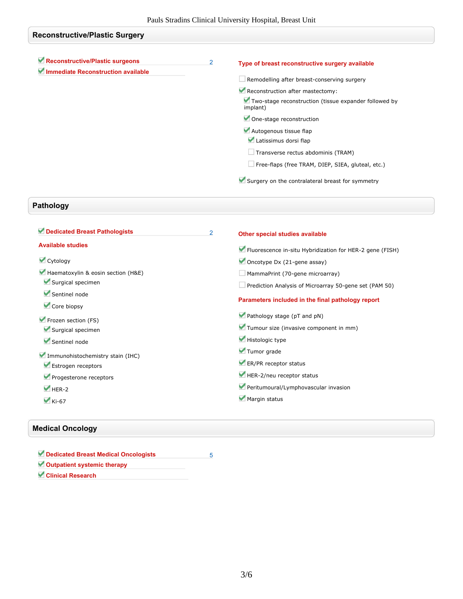| <b>Reconstructive/Plastic Surgery</b>                                 |   |                                                                   |
|-----------------------------------------------------------------------|---|-------------------------------------------------------------------|
| Reconstructive/Plastic surgeons<br>Immediate Reconstruction available | 2 | Type of breast reconstructive surgery available                   |
|                                                                       |   | $\Box$ Remodelling after breast-conserving surgery                |
|                                                                       |   | Reconstruction after mastectomy:                                  |
|                                                                       |   | Two-stage reconstruction (tissue expander followed by<br>implant) |
|                                                                       |   | One-stage reconstruction                                          |
|                                                                       |   | Autogenous tissue flap<br>Latissimus dorsi flap                   |
|                                                                       |   | $\Box$ Transverse rectus abdominis (TRAM)                         |
|                                                                       |   | $\Box$ Free-flaps (free TRAM, DIEP, SIEA, gluteal, etc.)          |
|                                                                       |   | Surgery on the contralateral breast for symmetry                  |

# **Pathology**

| Dedicated Breast Pathologists      | $\overline{2}$ | Other special studies available                          |
|------------------------------------|----------------|----------------------------------------------------------|
| <b>Available studies</b>           |                | Fluorescence in-situ Hybridization for HER-2 gene (FISH) |
| Cytology                           |                | Oncotype Dx $(21$ -gene assay)                           |
| Haematoxylin & eosin section (H&E) |                | $\Box$ MammaPrint (70-gene microarray)                   |
| Surgical specimen                  |                | Prediction Analysis of Microarray 50-gene set (PAM 50)   |
| Sentinel node<br>Core biopsy       |                | Parameters included in the final pathology report        |
| Frozen section (FS)                |                | Pathology stage (pT and pN)                              |
| Surgical specimen                  |                | Tumour size (invasive component in mm)                   |
| Sentinel node                      |                | Histologic type                                          |
| Immunohistochemistry stain (IHC)   |                | Tumor grade                                              |
| Estrogen receptors                 |                | ER/PR receptor status                                    |
| Progesterone receptors             |                | HER-2/neu receptor status                                |
| $HER-2$                            |                | Peritumoural/Lymphovascular invasion                     |
| $\blacktriangledown$ Ki-67         |                | Margin status                                            |
|                                    |                |                                                          |

## **Medical Oncology**

| Dedicated Breast Medical Oncologists |  |
|--------------------------------------|--|
| Outpatient systemic therapy          |  |
| <b>Clinical Research</b>             |  |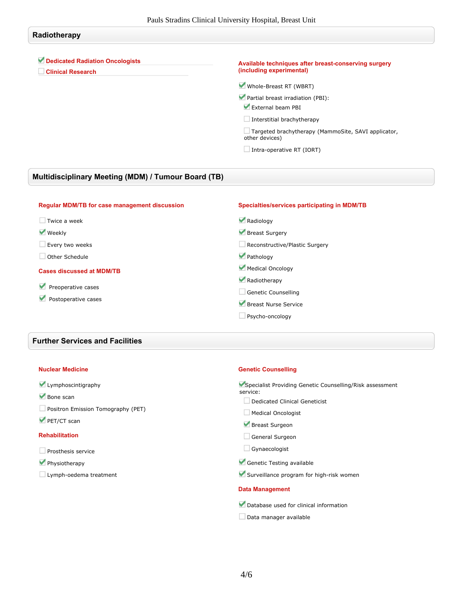## **Radiotherapy**

## **Dedicated Radiation Oncologists**

**Clinical Research**

#### **Available techniques after breast-conserving surgery (including experimental)**

**Whole-Breast RT (WBRT)**

- **Partial breast irradiation (PBI): External beam PBI**
	-
- **Interstitial brachytherapy**

**Targeted brachytherapy (MammoSite, SAVI applicator, other devices)**

**Intra-operative RT (IORT)**

## **Multidisciplinary Meeting (MDM) / Tumour Board (TB)**

| <b>Regular MDM/TB for case management discussion</b> | Specialties/services participating in MDM/TB |
|------------------------------------------------------|----------------------------------------------|
| Twice a week                                         | Radiology                                    |
| <b>Weekly</b>                                        | Breast Surgery                               |
| Every two weeks                                      | Reconstructive/Plastic Surgery               |
| Other Schedule                                       | Pathology                                    |
| <b>Cases discussed at MDM/TB</b>                     | Medical Oncology                             |
|                                                      | Radiotherapy                                 |
| Preoperative cases<br>Postoperative cases            | Genetic Counselling                          |
|                                                      | Breast Nurse Service                         |
|                                                      | Psycho-oncology                              |

### **Further Services and Facilities**

#### **Nuclear Medicine**

## **Lymphoscintigraphy**

- **Bone scan**
- **Positron Emission Tomography (PET)**
- **PET/CT scan**

#### **Rehabilitation**

- **Prosthesis service**
- **Physiotherapy**
- **Lymph-oedema treatment**

#### **Genetic Counselling**

**Specialist Providing Genetic Counselling/Risk assessment service:**

- **Dedicated Clinical Geneticist**
- **Medical Oncologist**
- **Breast Surgeon**
- **General Surgeon**
- **Gynaecologist**
- **Genetic Testing available**
- **Surveillance program for high-risk women**

#### **Data Management**

- **Database used for clinical information**
- **Data manager available**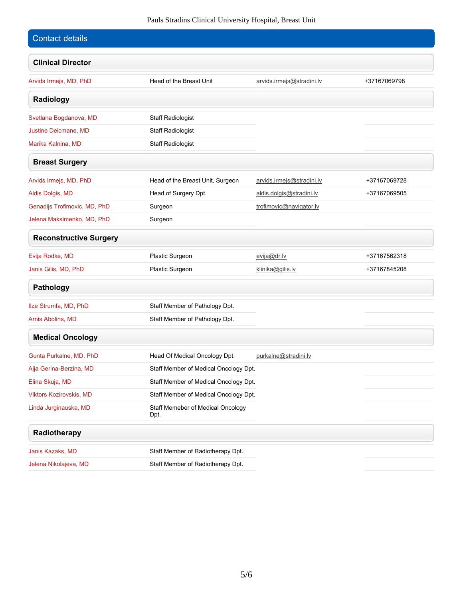## Pauls Stradins Clinical University Hospital, Breast Unit

| Contact details               |                                   |                                       |              |  |
|-------------------------------|-----------------------------------|---------------------------------------|--------------|--|
| <b>Clinical Director</b>      |                                   |                                       |              |  |
| Arvids Irmejs, MD, PhD        | Head of the Breast Unit           | arvids.irmejs@stradini.lv             | +37167069798 |  |
| Radiology                     |                                   |                                       |              |  |
| Svetlana Bogdanova, MD        | <b>Staff Radiologist</b>          |                                       |              |  |
| Justine Deicmane, MD          | <b>Staff Radiologist</b>          |                                       |              |  |
| Marika Kalnina, MD            | <b>Staff Radiologist</b>          |                                       |              |  |
| <b>Breast Surgery</b>         |                                   |                                       |              |  |
| Arvids Irmejs, MD, PhD        | Head of the Breast Unit, Surgeon  | arvids.irmejs@stradini.lv             | +37167069728 |  |
| Aldis Dolgis, MD              | Head of Surgery Dpt.              | aldis.dolgis@stradini.lv              | +37167069505 |  |
| Genadijs Trofimovic, MD, PhD  | Surgeon                           | trofimovic@navigator.lv               |              |  |
| Jelena Maksimenko, MD, PhD    | Surgeon                           |                                       |              |  |
| <b>Reconstructive Surgery</b> |                                   |                                       |              |  |
| Evija Rodke, MD               | Plastic Surgeon                   | evija@dr.lv                           | +37167562318 |  |
| Janis Gilis, MD, PhD          | Plastic Surgeon                   | klinika@gilis.lv                      | +37167845208 |  |
| <b>Pathology</b>              |                                   |                                       |              |  |
| Ilze Strumfa, MD, PhD         | Staff Member of Pathology Dpt.    |                                       |              |  |
| Arnis Abolins, MD             | Staff Member of Pathology Dpt.    |                                       |              |  |
| <b>Medical Oncology</b>       |                                   |                                       |              |  |
| Gunta Purkalne, MD, PhD       | Head Of Medical Oncology Dpt.     | purkalne@stradini.lv                  |              |  |
| Aija Gerina-Berzina, MD       |                                   | Staff Member of Medical Oncology Dpt. |              |  |
| Elina Skuja, MD               |                                   | Staff Member of Medical Oncology Dpt. |              |  |
| Viktors Kozirovskis, MD       |                                   | Staff Member of Medical Oncology Dpt. |              |  |
| Linda Jurginauska, MD         | Dpt.                              | Staff Memeber of Medical Oncology     |              |  |
| Radiotherapy                  |                                   |                                       |              |  |
| Janis Kazaks, MD              | Staff Member of Radiotherapy Dpt. |                                       |              |  |
| Jelena Nikolajeva, MD         | Staff Member of Radiotherapy Dpt. |                                       |              |  |